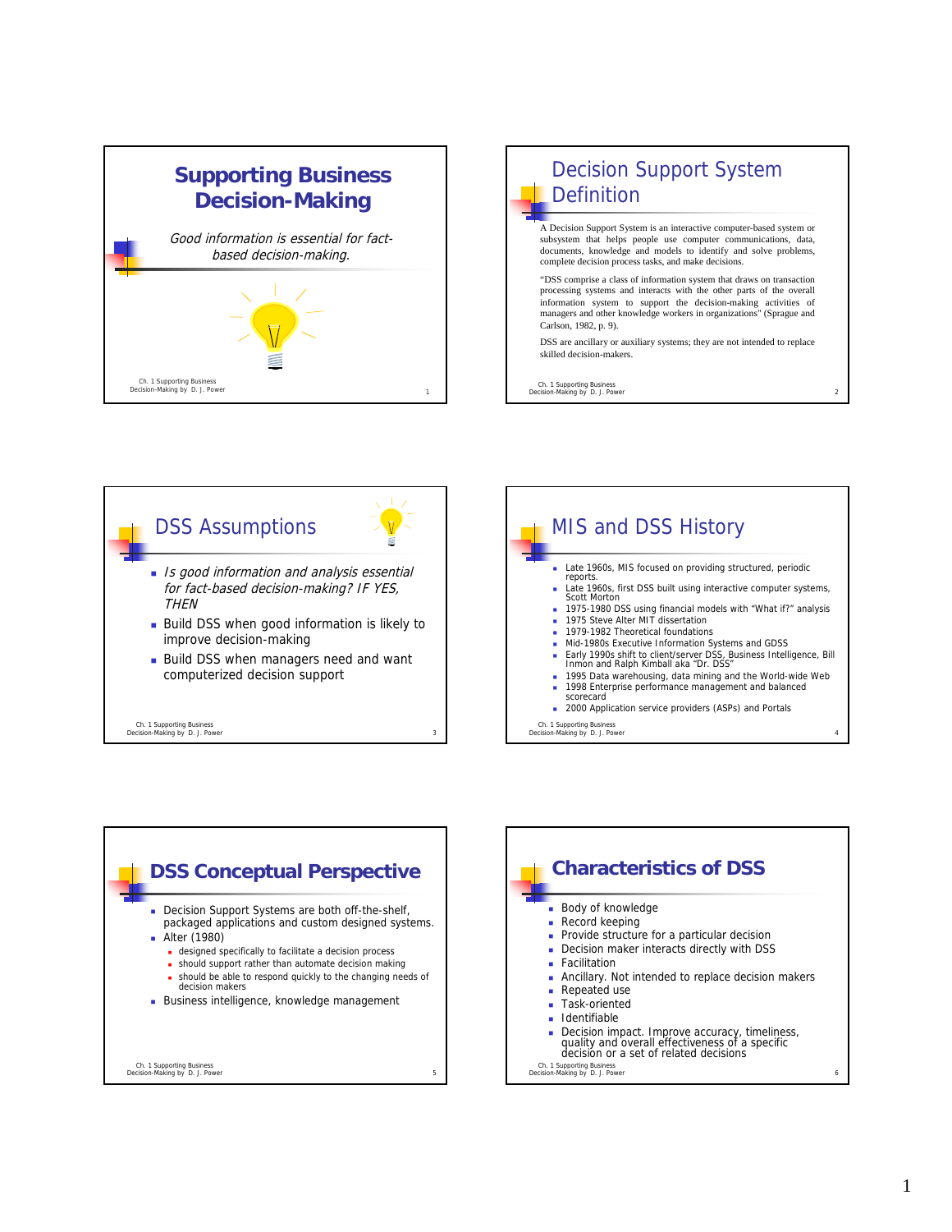







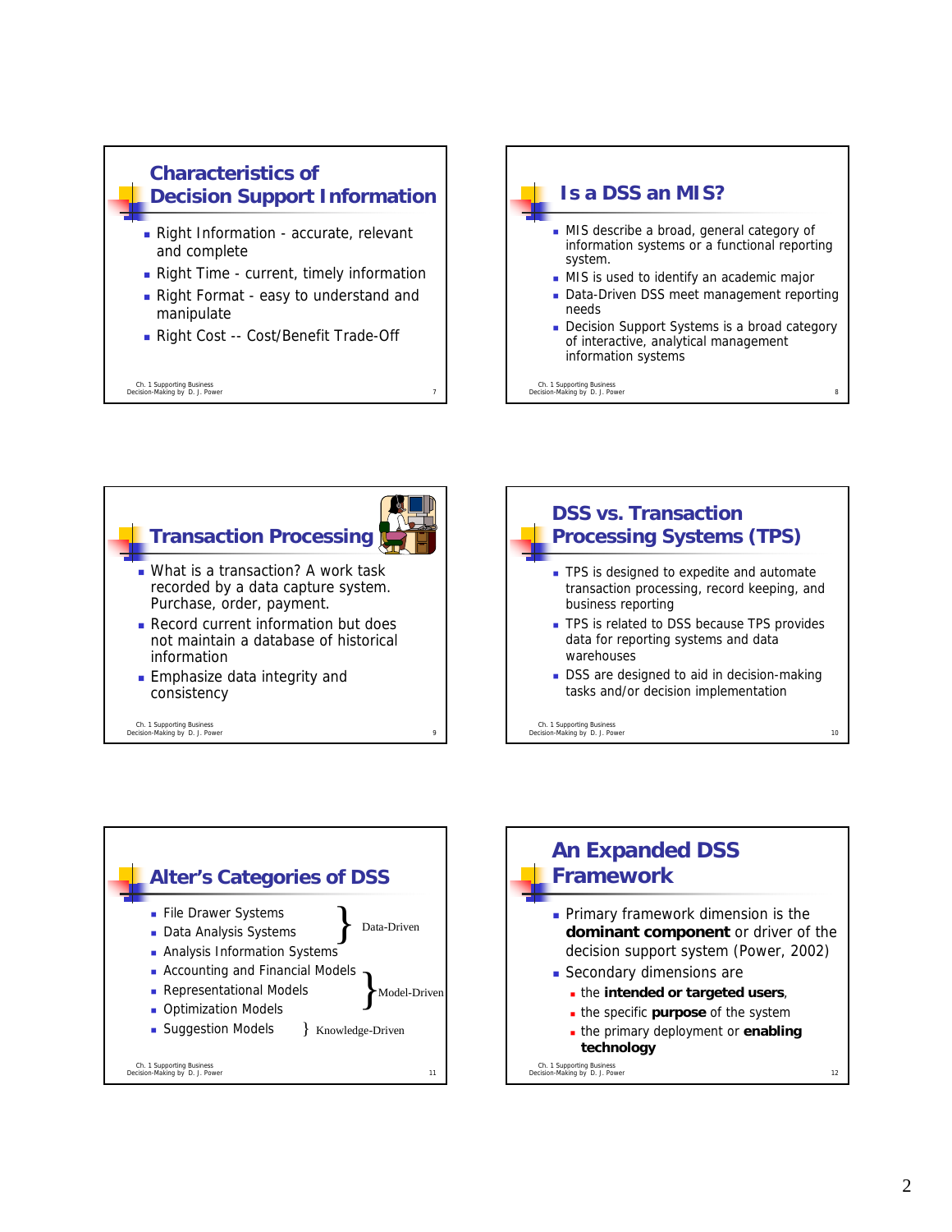







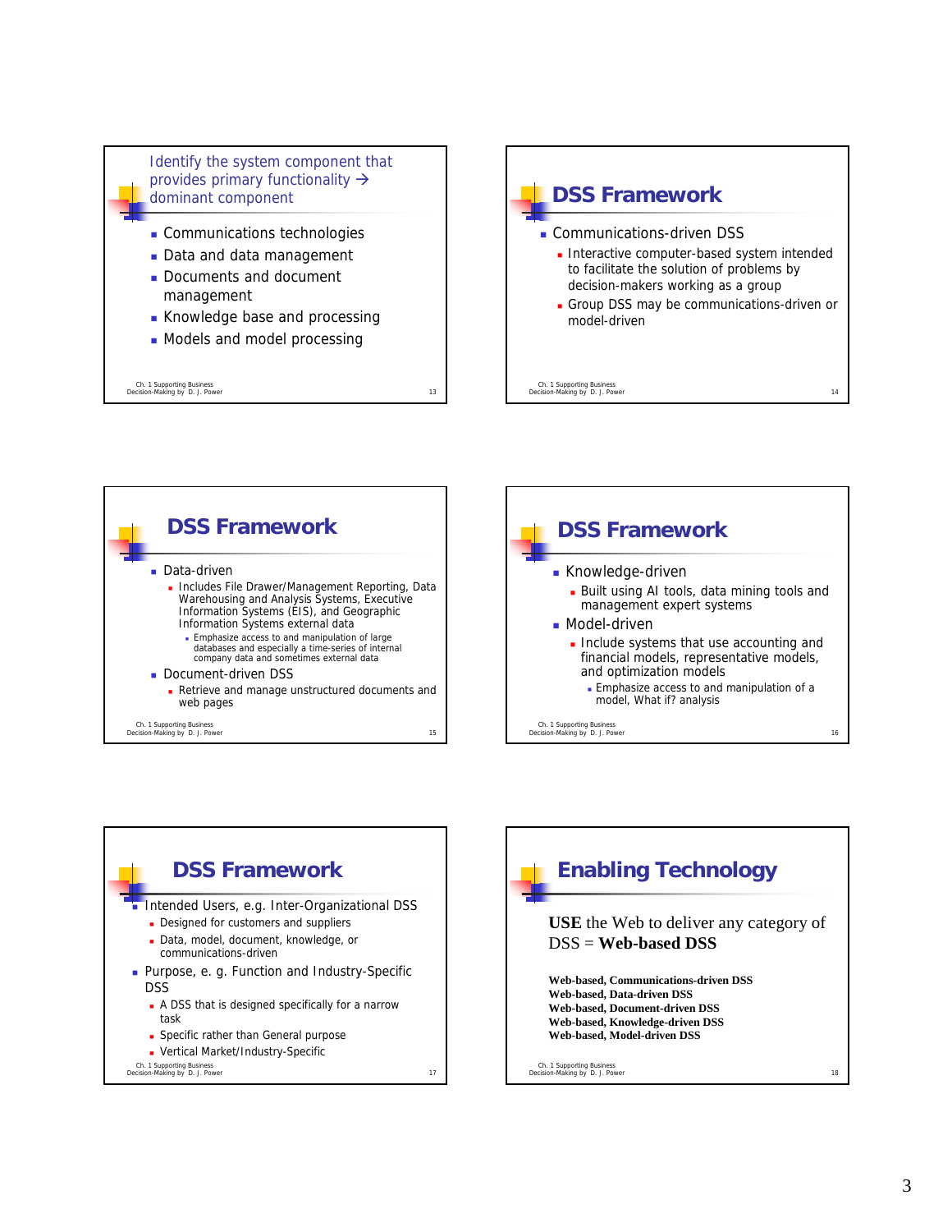Identify the system component that provides primary functionality  $\rightarrow$ dominant component

- **Communications technologies**
- Data and data management
- Documents and document management
- Knowledge base and processing
- Models and model processing

Ch. 1 Supporting Business Decision-Making by D. J. Power 13







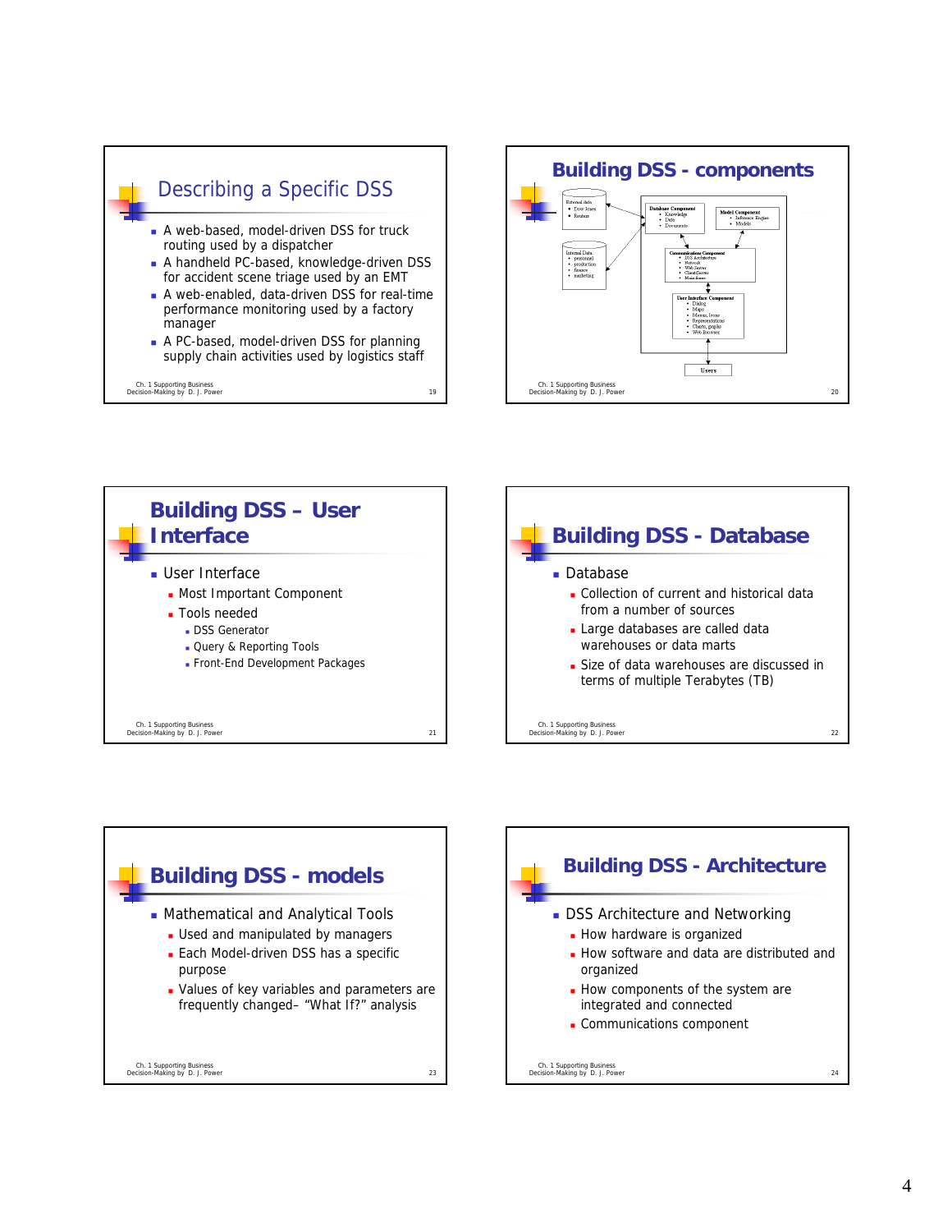